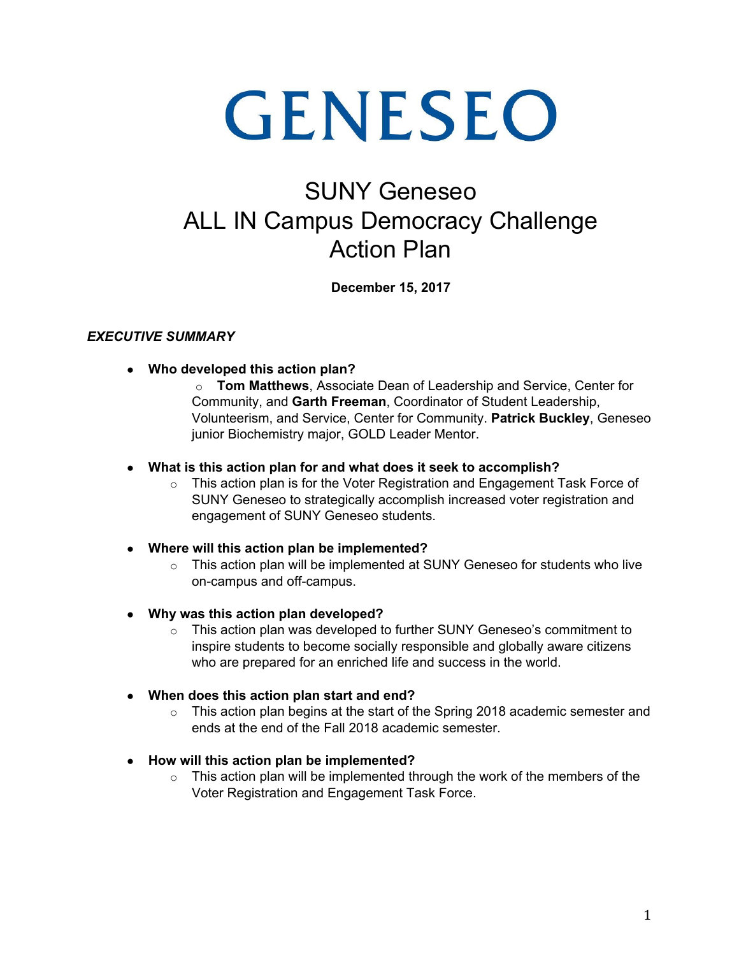# **GENESEO**

# SUNY Geneseo ALL IN Campus Democracy Challenge Action Plan

# **December 15, 2017**

#### *EXECUTIVE SUMMARY*

**● Who developed this action plan?**

o **Tom Matthews**, Associate Dean of Leadership and Service, Center for Community, and **Garth Freeman**, Coordinator of Student Leadership, Volunteerism, and Service, Center for Community. **Patrick Buckley**, Geneseo junior Biochemistry major, GOLD Leader Mentor.

#### **● What is this action plan for and what does it seek to accomplish?**

This action plan is for the Voter Registration and Engagement Task Force of SUNY Geneseo to strategically accomplish increased voter registration and engagement of SUNY Geneseo students.

#### **● Where will this action plan be implemented?**

- $\circ$  This action plan will be implemented at SUNY Geneseo for students who live on-campus and off-campus.
- **Why was this action plan developed?**<br>This action plan was developed to
	- This action plan was developed to further SUNY Geneseo's commitment to inspire students to become socially responsible and globally aware citizens who are prepared for an enriched life and success in the world.
- **● When does this action plan start and end?**
	- $\circ$  This action plan begins at the start of the Spring 2018 academic semester and ends at the end of the Fall 2018 academic semester.
- **● How will this action plan be implemented?**
	- $\circ$  This action plan will be implemented through the work of the members of the Voter Registration and Engagement Task Force.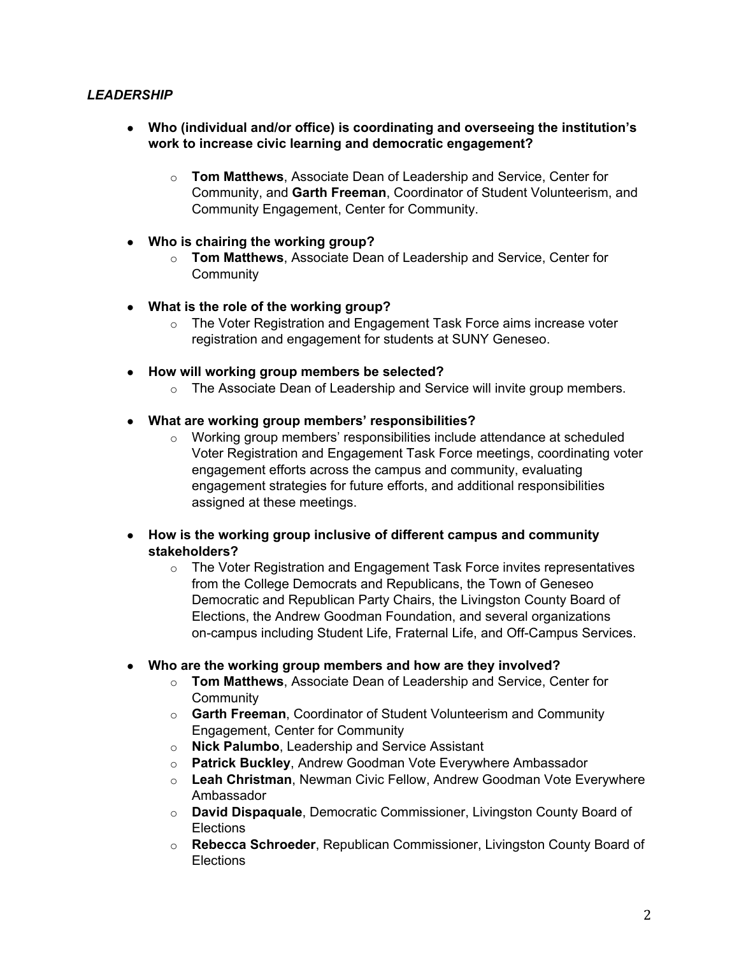#### *LEADERSHIP*

- **● Who (individual and/or office) is coordinating and overseeing the institution's work to increase civic learning and democratic engagement?**
	- o **Tom Matthews**, Associate Dean of Leadership and Service, Center for Community, and **Garth Freeman**, Coordinator of Student Volunteerism, and Community Engagement, Center for Community.
- **● Who is chairing the working group?**
	- o **Tom Matthews**, Associate Dean of Leadership and Service, Center for **Community**
- **● What is the role of the working group?**
	- o The Voter Registration and Engagement Task Force aims increase voter registration and engagement for students at SUNY Geneseo.
- **● How will working group members be selected?**
	- $\circ$  The Associate Dean of Leadership and Service will invite group members.

#### **● What are working group members' responsibilities?**

- $\circ$  Working group members' responsibilities include attendance at scheduled Voter Registration and Engagement Task Force meetings, coordinating voter engagement efforts across the campus and community, evaluating engagement strategies for future efforts, and additional responsibilities assigned at these meetings.
- **● How is the working group inclusive of different campus and community stakeholders?**
	- $\circ$  The Voter Registration and Engagement Task Force invites representatives from the College Democrats and Republicans, the Town of Geneseo Democratic and Republican Party Chairs, the Livingston County Board of Elections, the Andrew Goodman Foundation, and several organizations on-campus including Student Life, Fraternal Life, and Off-Campus Services.

#### **● Who are the working group members and how are they involved?**

- o **Tom Matthews**, Associate Dean of Leadership and Service, Center for **Community**
- o **Garth Freeman**, Coordinator of Student Volunteerism and Community Engagement, Center for Community
- o **Nick Palumbo**, Leadership and Service Assistant
- o **Patrick Buckley**, Andrew Goodman Vote Everywhere Ambassador
- o **Leah Christman**, Newman Civic Fellow, Andrew Goodman Vote Everywhere Ambassador
- o **David Dispaquale**, Democratic Commissioner, Livingston County Board of **Elections**
- o **Rebecca Schroeder**, Republican Commissioner, Livingston County Board of Elections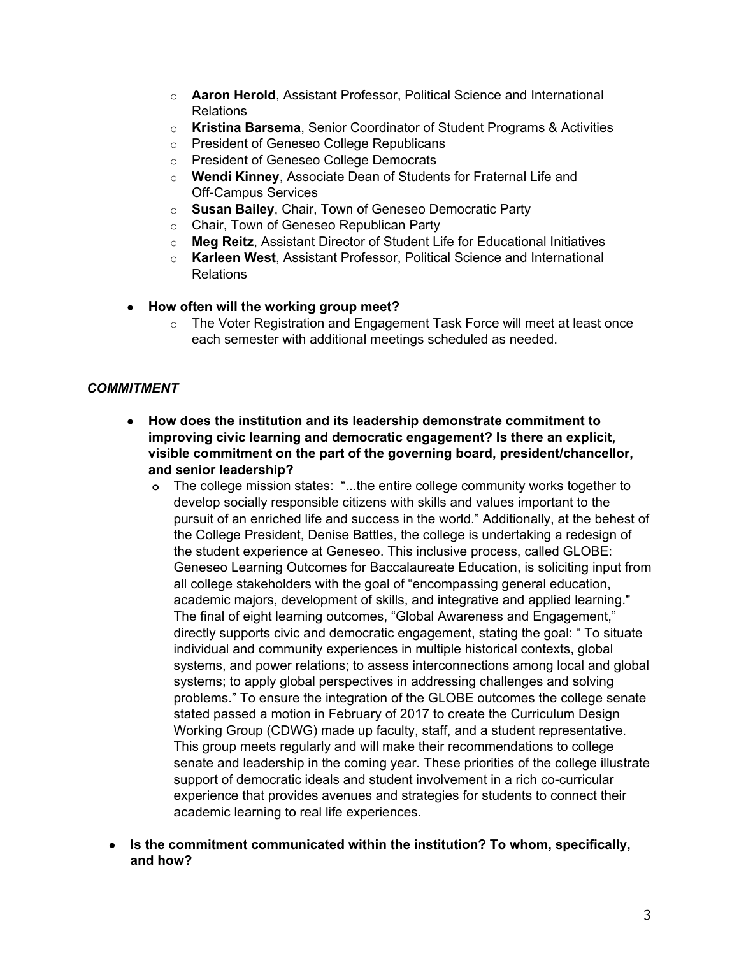- o **Aaron Herold**, Assistant Professor, Political Science and International Relations
- o **Kristina Barsema**, Senior Coordinator of Student Programs & Activities
- o President of Geneseo College Republicans
- o President of Geneseo College Democrats
- o **Wendi Kinney**, Associate Dean of Students for Fraternal Life and Off-Campus Services
- o **Susan Bailey**, Chair, Town of Geneseo Democratic Party
- o Chair, Town of Geneseo Republican Party
- o **Meg Reitz**, Assistant Director of Student Life for Educational Initiatives
- o **Karleen West**, Assistant Professor, Political Science and International Relations
- **● How often will the working group meet?**
	- $\circ$  The Voter Registration and Engagement Task Force will meet at least once each semester with additional meetings scheduled as needed.

#### *COMMITMENT*

- **● How does the institution and its leadership demonstrate commitment to improving civic learning and democratic engagement? Is there an explicit, visible commitment on the part of the governing board, president/chancellor, and senior leadership?**
	- **o** The college mission states: "...the entire college community works together to develop socially responsible citizens with skills and values important to the pursuit of an enriched life and success in the world." Additionally, at the behest of the College President, Denise Battles, the college is undertaking a redesign of the student experience at Geneseo. This inclusive process, called GLOBE: Geneseo Learning Outcomes for Baccalaureate Education, is soliciting input from all college stakeholders with the goal of "encompassing general education, academic majors, development of skills, and integrative and applied learning." The final of eight learning outcomes, "Global Awareness and Engagement," directly supports civic and democratic engagement, stating the goal: " To situate individual and community experiences in multiple historical contexts, global systems, and power relations; to assess interconnections among local and global systems; to apply global perspectives in addressing challenges and solving problems." To ensure the integration of the GLOBE outcomes the college senate stated passed a motion in February of 2017 to create the Curriculum Design Working Group (CDWG) made up faculty, staff, and a student representative. This group meets regularly and will make their recommendations to college senate and leadership in the coming year. These priorities of the college illustrate support of democratic ideals and student involvement in a rich co-curricular experience that provides avenues and strategies for students to connect their academic learning to real life experiences.
- **● Is the commitment communicated within the institution? To whom, specifically, and how?**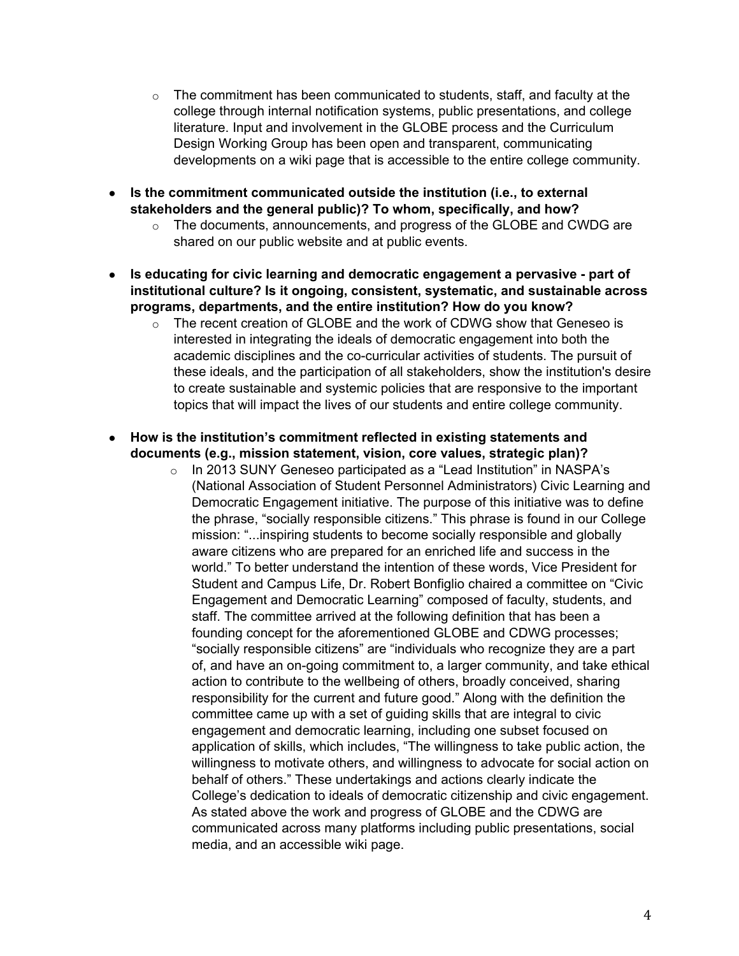- $\circ$  The commitment has been communicated to students, staff, and faculty at the college through internal notification systems, public presentations, and college literature. Input and involvement in the GLOBE process and the Curriculum Design Working Group has been open and transparent, communicating developments on a wiki page that is accessible to the entire college community.
- **● Is the commitment communicated outside the institution (i.e., to external stakeholders and the general public)? To whom, specifically, and how?**
	- The documents, announcements, and progress of the GLOBE and CWDG are shared on our public website and at public events.
- **● Is educating for civic learning and democratic engagement a pervasive - part of institutional culture? Is it ongoing, consistent, systematic, and sustainable across programs, departments, and the entire institution? How do you know?**
	- The recent creation of GLOBE and the work of CDWG show that Geneseo is interested in integrating the ideals of democratic engagement into both the academic disciplines and the co-curricular activities of students. The pursuit of these ideals, and the participation of all stakeholders, show the institution's desire to create sustainable and systemic policies that are responsive to the important topics that will impact the lives of our students and entire college community.

#### ● **How is the institution's commitment reflected in existing statements and documents (e.g., mission statement, vision, core values, strategic plan)?**

o In 2013 SUNY Geneseo participated as a "Lead Institution" in NASPA's (National Association of Student Personnel Administrators) Civic Learning and Democratic Engagement initiative. The purpose of this initiative was to define the phrase, "socially responsible citizens." This phrase is found in our College mission: "...inspiring students to become socially responsible and globally aware citizens who are prepared for an enriched life and success in the world." To better understand the intention of these words, Vice President for Student and Campus Life, Dr. Robert Bonfiglio chaired a committee on "Civic Engagement and Democratic Learning" composed of faculty, students, and staff. The committee arrived at the following definition that has been a founding concept for the aforementioned GLOBE and CDWG processes; "socially responsible citizens" are "individuals who recognize they are a part of, and have an on-going commitment to, a larger community, and take ethical action to contribute to the wellbeing of others, broadly conceived, sharing responsibility for the current and future good." Along with the definition the committee came up with a set of guiding skills that are integral to civic engagement and democratic learning, including one subset focused on application of skills, which includes, "The willingness to take public action, the willingness to motivate others, and willingness to advocate for social action on behalf of others." These undertakings and actions clearly indicate the College's dedication to ideals of democratic citizenship and civic engagement. As stated above the work and progress of GLOBE and the CDWG are communicated across many platforms including public presentations, social media, and an accessible wiki page.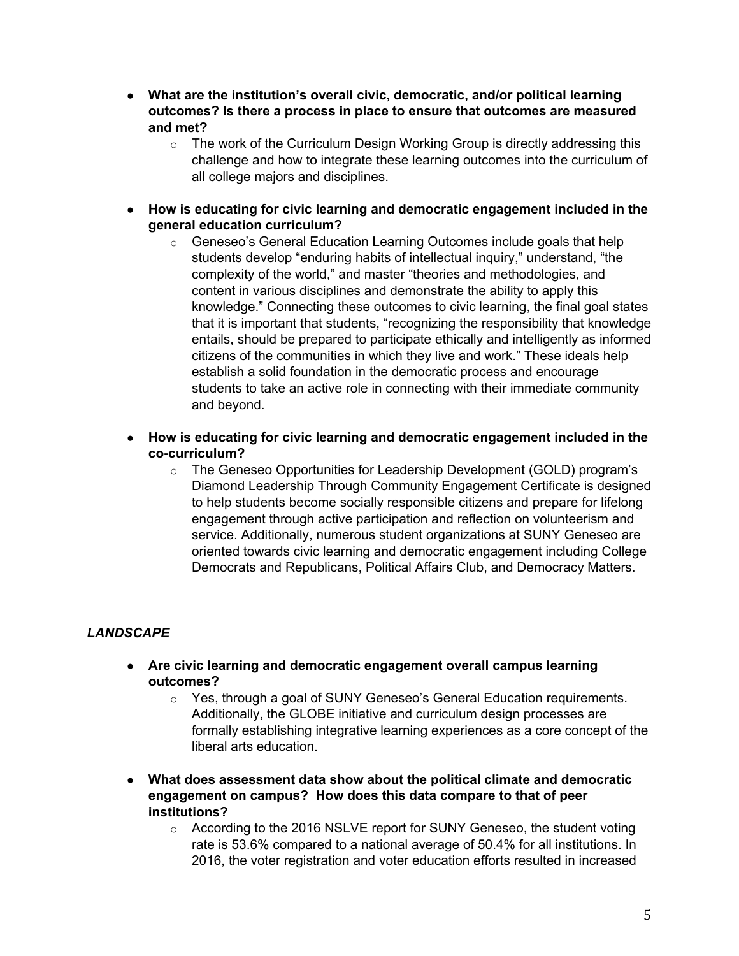- **● What are the institution's overall civic, democratic, and/or political learning outcomes? Is there a process in place to ensure that outcomes are measured and met?**
	- o The work of the Curriculum Design Working Group is directly addressing this challenge and how to integrate these learning outcomes into the curriculum of all college majors and disciplines.
- **● How is educating for civic learning and democratic engagement included in the general education curriculum?**
	- $\circ$  Geneseo's General Education Learning Outcomes include goals that help students develop "enduring habits of intellectual inquiry," understand, "the complexity of the world," and master "theories and methodologies, and content in various disciplines and demonstrate the ability to apply this knowledge." Connecting these outcomes to civic learning, the final goal states that it is important that students, "recognizing the responsibility that knowledge entails, should be prepared to participate ethically and intelligently as informed citizens of the communities in which they live and work." These ideals help establish a solid foundation in the democratic process and encourage students to take an active role in connecting with their immediate community and beyond.
- **● How is educating for civic learning and democratic engagement included in the co-curriculum?**
	- o The Geneseo Opportunities for Leadership Development (GOLD) program's Diamond Leadership Through Community Engagement Certificate is designed to help students become socially responsible citizens and prepare for lifelong engagement through active participation and reflection on volunteerism and service. Additionally, numerous student organizations at SUNY Geneseo are oriented towards civic learning and democratic engagement including College Democrats and Republicans, Political Affairs Club, and Democracy Matters.

# *LANDSCAPE*

- **● Are civic learning and democratic engagement overall campus learning outcomes?**
	- $\circ$  Yes, through a goal of SUNY Geneseo's General Education requirements. Additionally, the GLOBE initiative and curriculum design processes are formally establishing integrative learning experiences as a core concept of the liberal arts education.
- **● What does assessment data show about the political climate and democratic engagement on campus? How does this data compare to that of peer institutions?**
	- $\circ$  According to the 2016 NSLVE report for SUNY Geneseo, the student voting rate is 53.6% compared to a national average of 50.4% for all institutions. In 2016, the voter registration and voter education efforts resulted in increased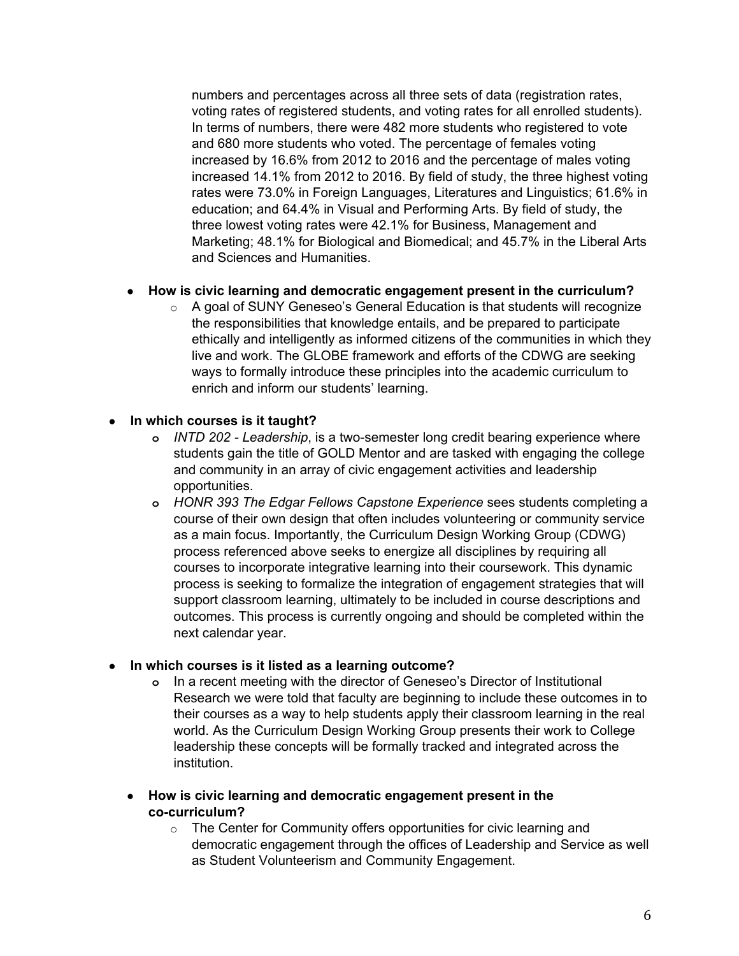numbers and percentages across all three sets of data (registration rates, voting rates of registered students, and voting rates for all enrolled students). In terms of numbers, there were 482 more students who registered to vote and 680 more students who voted. The percentage of females voting increased by 16.6% from 2012 to 2016 and the percentage of males voting increased 14.1% from 2012 to 2016. By field of study, the three highest voting rates were 73.0% in Foreign Languages, Literatures and Linguistics; 61.6% in education; and 64.4% in Visual and Performing Arts. By field of study, the three lowest voting rates were 42.1% for Business, Management and Marketing; 48.1% for Biological and Biomedical; and 45.7% in the Liberal Arts and Sciences and Humanities.

#### **● How is civic learning and democratic engagement present in the curriculum?**

o A goal of SUNY Geneseo's General Education is that students will recognize the responsibilities that knowledge entails, and be prepared to participate ethically and intelligently as informed citizens of the communities in which they live and work. The GLOBE framework and efforts of the CDWG are seeking ways to formally introduce these principles into the academic curriculum to enrich and inform our students' learning.

#### **● In which courses is it taught?**

- **o** *INTD 202 - Leadership*, is a two-semester long credit bearing experience where students gain the title of GOLD Mentor and are tasked with engaging the college and community in an array of civic engagement activities and leadership opportunities.
- **o** *HONR 393 The Edgar Fellows Capstone Experience* sees students completing a course of their own design that often includes volunteering or community service as a main focus. Importantly, the Curriculum Design Working Group (CDWG) process referenced above seeks to energize all disciplines by requiring all courses to incorporate integrative learning into their coursework. This dynamic process is seeking to formalize the integration of engagement strategies that will support classroom learning, ultimately to be included in course descriptions and outcomes. This process is currently ongoing and should be completed within the next calendar year.

#### **● In which courses is it listed as a learning outcome?**

- **o** In a recent meeting with the director of Geneseo's Director of Institutional Research we were told that faculty are beginning to include these outcomes in to their courses as a way to help students apply their classroom learning in the real world. As the Curriculum Design Working Group presents their work to College leadership these concepts will be formally tracked and integrated across the institution.
- **● How is civic learning and democratic engagement present in the co-curriculum?**
	- $\circ$  The Center for Community offers opportunities for civic learning and democratic engagement through the offices of Leadership and Service as well as Student Volunteerism and Community Engagement.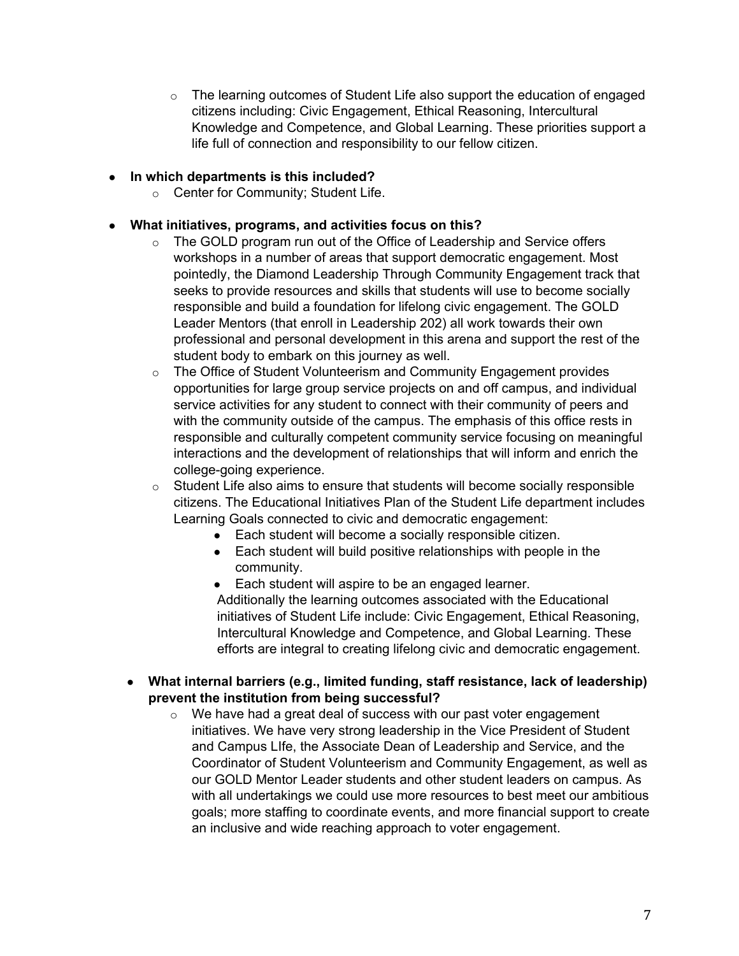$\circ$  The learning outcomes of Student Life also support the education of engaged citizens including: Civic Engagement, Ethical Reasoning, Intercultural Knowledge and Competence, and Global Learning. These priorities support a life full of connection and responsibility to our fellow citizen.

#### ● **In which departments is this included?**

o Center for Community; Student Life.

#### ● **What initiatives, programs, and activities focus on this?**

- o The GOLD program run out of the Office of Leadership and Service offers workshops in a number of areas that support democratic engagement. Most pointedly, the Diamond Leadership Through Community Engagement track that seeks to provide resources and skills that students will use to become socially responsible and build a foundation for lifelong civic engagement. The GOLD Leader Mentors (that enroll in Leadership 202) all work towards their own professional and personal development in this arena and support the rest of the student body to embark on this journey as well.
- o The Office of Student Volunteerism and Community Engagement provides opportunities for large group service projects on and off campus, and individual service activities for any student to connect with their community of peers and with the community outside of the campus. The emphasis of this office rests in responsible and culturally competent community service focusing on meaningful interactions and the development of relationships that will inform and enrich the college-going experience.
- o Student Life also aims to ensure that students will become socially responsible citizens. The Educational Initiatives Plan of the Student Life department includes Learning Goals connected to civic and democratic engagement:
	- Each student will become a socially responsible citizen.
	- Each student will build positive relationships with people in the community.

Each student will aspire to be an engaged learner. Additionally the learning outcomes associated with the Educational initiatives of Student Life include: Civic Engagement, Ethical Reasoning, Intercultural Knowledge and Competence, and Global Learning. These efforts are integral to creating lifelong civic and democratic engagement.

- **● What internal barriers (e.g., limited funding, staff resistance, lack of leadership) prevent the institution from being successful?**
	- $\circ$  We have had a great deal of success with our past voter engagement initiatives. We have very strong leadership in the Vice President of Student and Campus LIfe, the Associate Dean of Leadership and Service, and the Coordinator of Student Volunteerism and Community Engagement, as well as our GOLD Mentor Leader students and other student leaders on campus. As with all undertakings we could use more resources to best meet our ambitious goals; more staffing to coordinate events, and more financial support to create an inclusive and wide reaching approach to voter engagement.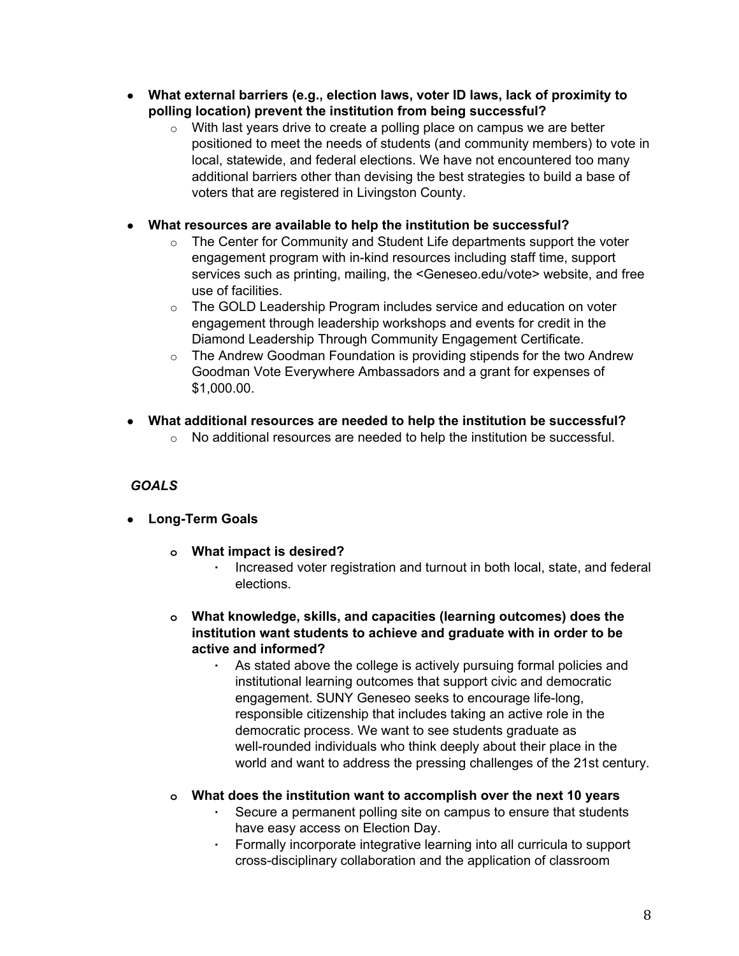- **What external barriers (e.g., election laws, voter ID laws, lack of proximity to polling location) prevent the institution from being successful?**
	- o With last years drive to create a polling place on campus we are better positioned to meet the needs of students (and community members) to vote in local, statewide, and federal elections. We have not encountered too many additional barriers other than devising the best strategies to build a base of voters that are registered in Livingston County.
- **● What resources are available to help the institution be successful?**
	- o The Center for Community and Student Life departments support the voter engagement program with in-kind resources including staff time, support services such as printing, mailing, the <Geneseo.edu/vote> website, and free use of facilities.
	- o The GOLD Leadership Program includes service and education on voter engagement through leadership workshops and events for credit in the Diamond Leadership Through Community Engagement Certificate.
	- o The Andrew Goodman Foundation is providing stipends for the two Andrew Goodman Vote Everywhere Ambassadors and a grant for expenses of \$1,000.00.
- **● What additional resources are needed to help the institution be successful?**
	- o No additional resources are needed to help the institution be successful.

#### *GOALS*

- **● Long-Term Goals**
	- **o What impact is desired?**
		- Increased voter registration and turnout in both local, state, and federal elections.
	- **o What knowledge, skills, and capacities (learning outcomes) does the institution want students to achieve and graduate with in order to be active and informed?**
		- As stated above the college is actively pursuing formal policies and institutional learning outcomes that support civic and democratic engagement. SUNY Geneseo seeks to encourage life-long, responsible citizenship that includes taking an active role in the democratic process. We want to see students graduate as well-rounded individuals who think deeply about their place in the world and want to address the pressing challenges of the 21st century.

#### **o What does the institution want to accomplish over the next 10 years**

- Secure a permanent polling site on campus to ensure that students have easy access on Election Day.
- Formally incorporate integrative learning into all curricula to support cross-disciplinary collaboration and the application of classroom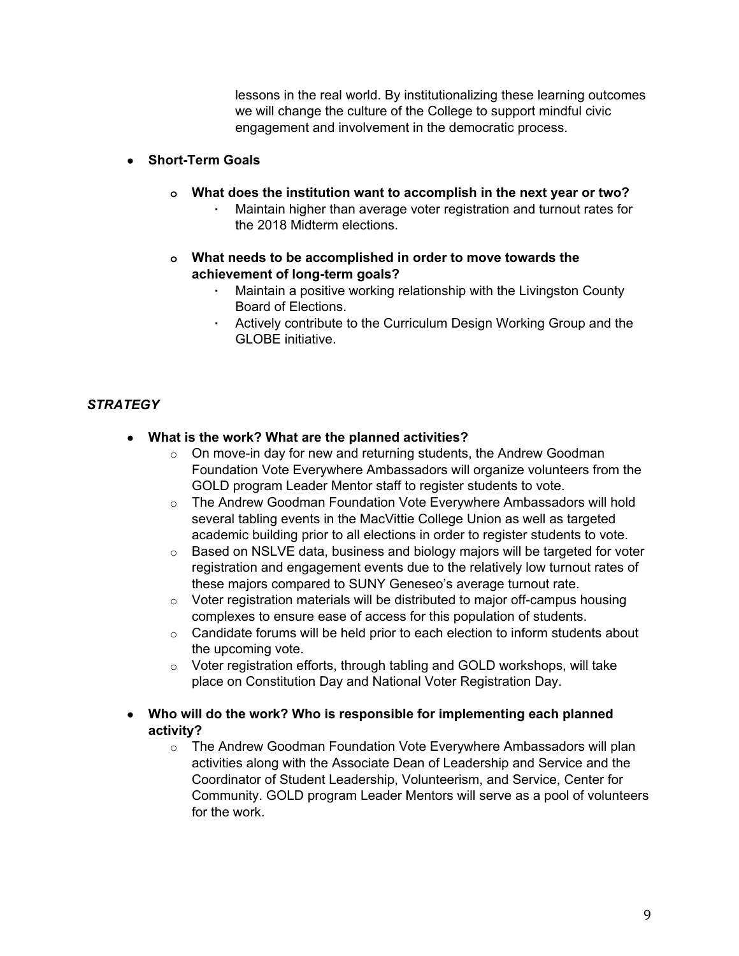lessons in the real world. By institutionalizing these learning outcomes we will change the culture of the College to support mindful civic engagement and involvement in the democratic process.

- **● Short-Term Goals**
	- **o What does the institution want to accomplish in the next year or two?**
		- Maintain higher than average voter registration and turnout rates for the 2018 Midterm elections.
	- **o What needs to be accomplished in order to move towards the achievement of long-term goals?**
		- Maintain a positive working relationship with the Livingston County Board of Elections.
		- Actively contribute to the Curriculum Design Working Group and the GLOBE initiative.

# *STRATEGY*

- **● What is the work? What are the planned activities?**
	- $\circ$  On move-in day for new and returning students, the Andrew Goodman Foundation Vote Everywhere Ambassadors will organize volunteers from the GOLD program Leader Mentor staff to register students to vote.
	- o The Andrew Goodman Foundation Vote Everywhere Ambassadors will hold several tabling events in the MacVittie College Union as well as targeted academic building prior to all elections in order to register students to vote.
	- o Based on NSLVE data, business and biology majors will be targeted for voter registration and engagement events due to the relatively low turnout rates of these majors compared to SUNY Geneseo's average turnout rate.
	- $\circ$  Voter registration materials will be distributed to major off-campus housing complexes to ensure ease of access for this population of students.
	- o Candidate forums will be held prior to each election to inform students about the upcoming vote.
	- o Voter registration efforts, through tabling and GOLD workshops, will take place on Constitution Day and National Voter Registration Day.
- **● Who will do the work? Who is responsible for implementing each planned activity?**
	- $\circ$  The Andrew Goodman Foundation Vote Everywhere Ambassadors will plan activities along with the Associate Dean of Leadership and Service and the Coordinator of Student Leadership, Volunteerism, and Service, Center for Community. GOLD program Leader Mentors will serve as a pool of volunteers for the work.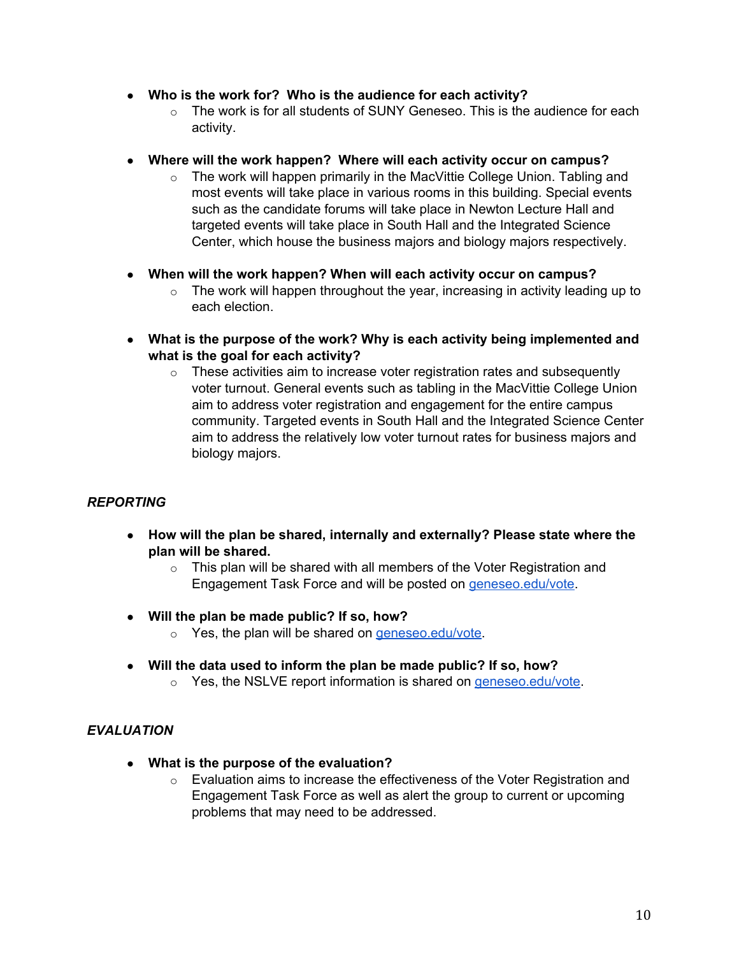- **● Who is the work for? Who is the audience for each activity?**
	- $\circ$  The work is for all students of SUNY Geneseo. This is the audience for each activity.
- **● Where will the work happen? Where will each activity occur on campus?**
	- o The work will happen primarily in the MacVittie College Union. Tabling and most events will take place in various rooms in this building. Special events such as the candidate forums will take place in Newton Lecture Hall and targeted events will take place in South Hall and the Integrated Science Center, which house the business majors and biology majors respectively.
- **● When will the work happen? When will each activity occur on campus?**
	- $\circ$  The work will happen throughout the year, increasing in activity leading up to each election.
- **● What is the purpose of the work? Why is each activity being implemented and what is the goal for each activity?**
	- o These activities aim to increase voter registration rates and subsequently voter turnout. General events such as tabling in the MacVittie College Union aim to address voter registration and engagement for the entire campus community. Targeted events in South Hall and the Integrated Science Center aim to address the relatively low voter turnout rates for business majors and biology majors.

# *REPORTING*

- **● How will the plan be shared, internally and externally? Please state where the plan will be shared.**
	- $\circ$  This plan will be shared with all members of the Voter Registration and Engagement Task Force and will be posted on **[geneseo.edu/vote](http://geneseo.edu/vote)**.
- **● Will the plan be made public? If so, how?**
	- o Yes, the plan will be shared on [geneseo.edu/vote](http://geneseo.edu/vote).
- **● Will the data used to inform the plan be made public? If so, how?**
	- o Yes, the NSLVE report information is shared on [geneseo.edu/vote](http://geneseo.edu/vote).

#### *EVALUATION*

- **● What is the purpose of the evaluation?**
	- $\circ$  Evaluation aims to increase the effectiveness of the Voter Registration and Engagement Task Force as well as alert the group to current or upcoming problems that may need to be addressed.